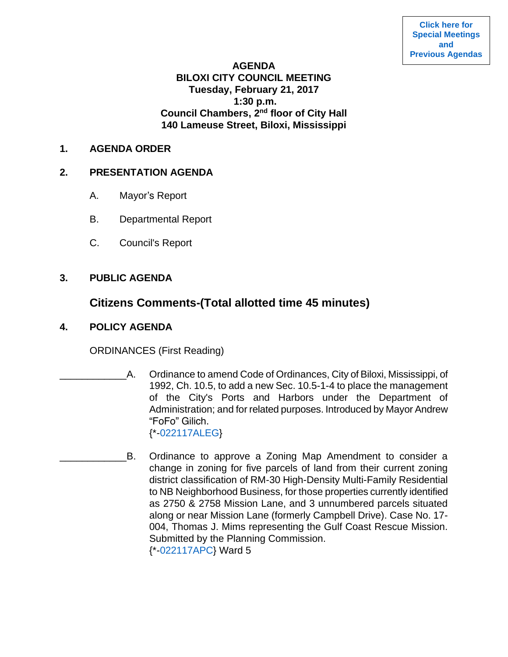**[Click here for](https://www.biloxi.ms.us/category/agendas-city-council/) [Special Meetings](https://www.biloxi.ms.us/category/agendas-city-council/) [and](https://www.biloxi.ms.us/category/agendas-city-council/) [Previous Agendas](https://www.biloxi.ms.us/category/agendas-city-council/)**

#### **AGENDA**

## **BILOXI CITY COUNCIL MEETING Tuesday, February 21, 2017 1:30 p.m. Council Chambers, 2nd floor of City Hall 140 Lameuse Street, Biloxi, Mississippi**

#### **1. AGENDA ORDER**

#### **2. PRESENTATION AGENDA**

- A. Mayor's Report
- B. Departmental Report
- C. Council's Report

### **3. PUBLIC AGENDA**

# **Citizens Comments-(Total allotted time 45 minutes)**

**4. POLICY AGENDA**

ORDINANCES (First Reading)

- \_\_\_\_\_\_\_\_\_\_\_\_A. Ordinance to amend Code of Ordinances, City of Biloxi, Mississippi, of 1992, Ch. 10.5, to add a new Sec. 10.5-1-4 to place the management of the City's Ports and Harbors under the Department of Administration; and for related purposes. Introduced by Mayor Andrew "FoFo" Gilich. {\*[-022117ALEG}](https://www.biloxi.ms.us/agendas/citycouncil/2017/022117/022117aleg.pdf)
- B. Ordinance to approve a Zoning Map Amendment to consider a change in zoning for five parcels of land from their current zoning district classification of RM-30 High-Density Multi-Family Residential to NB Neighborhood Business, for those properties currently identified as 2750 & 2758 Mission Lane, and 3 unnumbered parcels situated along or near Mission Lane (formerly Campbell Drive). Case No. 17- 004, Thomas J. Mims representing the Gulf Coast Rescue Mission. Submitted by the Planning Commission. {\*[-022117APC}](https://www.biloxi.ms.us/agendas/citycouncil/2017/022117/022117apc.pdf) Ward 5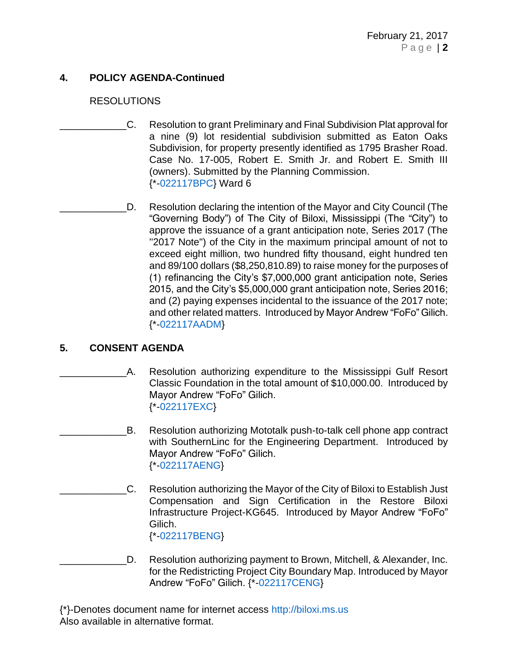## **4. POLICY AGENDA-Continued**

#### RESOLUTIONS

- \_\_\_\_\_\_\_\_\_\_\_\_C. Resolution to grant Preliminary and Final Subdivision Plat approval for a nine (9) lot residential subdivision submitted as Eaton Oaks Subdivision, for property presently identified as 1795 Brasher Road. Case No. 17-005, Robert E. Smith Jr. and Robert E. Smith III (owners). Submitted by the Planning Commission. {\*[-022117BPC}](https://www.biloxi.ms.us/agendas/citycouncil/2017/022117/022117bpc.pdf) Ward 6
- D. Resolution declaring the intention of the Mayor and City Council (The "Governing Body") of The City of Biloxi, Mississippi (The "City") to approve the issuance of a grant anticipation note, Series 2017 (The "2017 Note") of the City in the maximum principal amount of not to exceed eight million, two hundred fifty thousand, eight hundred ten and 89/100 dollars (\$8,250,810.89) to raise money for the purposes of (1) refinancing the City's \$7,000,000 grant anticipation note, Series 2015, and the City's \$5,000,000 grant anticipation note, Series 2016; and (2) paying expenses incidental to the issuance of the 2017 note; and other related matters. Introduced by Mayor Andrew "FoFo" Gilich. {\*[-022117AADM}](https://www.biloxi.ms.us/agendas/citycouncil/2017/022117/022117aadm.pdf)

### **5. CONSENT AGENDA**

- \_\_\_\_\_\_\_\_\_\_\_\_A. Resolution authorizing expenditure to the Mississippi Gulf Resort Classic Foundation in the total amount of \$10,000.00. Introduced by Mayor Andrew "FoFo" Gilich. {\*[-022117EXC}](https://www.biloxi.ms.us/agendas/citycouncil/2017/022117/022117exc1.pdf)
	- B. Resolution authorizing Mototalk push-to-talk cell phone app contract with SouthernLinc for the Engineering Department. Introduced by Mayor Andrew "FoFo" Gilich. {\*[-022117AENG}](https://www.biloxi.ms.us/agendas/citycouncil/2017/022117/022117aeng.pdf)
	- \_\_\_\_\_\_\_\_\_\_\_\_C. Resolution authorizing the Mayor of the City of Biloxi to Establish Just Compensation and Sign Certification in the Restore Biloxi Infrastructure Project-KG645. Introduced by Mayor Andrew "FoFo" Gilich. {\*[-022117BENG}](https://www.biloxi.ms.us/agendas/citycouncil/2017/022117/022117beng.pdf)
- D. Resolution authorizing payment to Brown, Mitchell, & Alexander, Inc. for the Redistricting Project City Boundary Map. Introduced by Mayor Andrew "FoFo" Gilich. {\*[-022117CENG}](https://www.biloxi.ms.us/agendas/citycouncil/2017/022117/022117ceng.pdf)

{\*}-Denotes document name for internet access [http://biloxi.ms.us](http://biloxi.ms.us/) Also available in alternative format.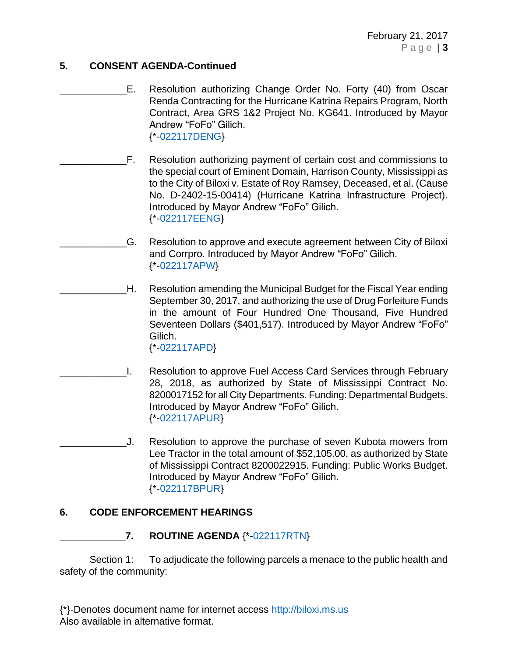### **5. CONSENT AGENDA-Continued**

- E. Resolution authorizing Change Order No. Forty (40) from Oscar Renda Contracting for the Hurricane Katrina Repairs Program, North Contract, Area GRS 1&2 Project No. KG641. Introduced by Mayor Andrew "FoFo" Gilich. {\*[-022117DENG}](https://www.biloxi.ms.us/agendas/citycouncil/2017/022117/022117deng.pdf)
- \_\_\_\_\_\_\_\_\_\_\_\_F. Resolution authorizing payment of certain cost and commissions to the special court of Eminent Domain, Harrison County, Mississippi as to the City of Biloxi v. Estate of Roy Ramsey, Deceased, et al. (Cause No. D-2402-15-00414) (Hurricane Katrina Infrastructure Project). Introduced by Mayor Andrew "FoFo" Gilich. {\*[-022117EENG}](https://www.biloxi.ms.us/agendas/citycouncil/2017/022117/022117eeng.pdf)
	- \_\_\_\_\_\_\_\_\_\_\_\_G. Resolution to approve and execute agreement between City of Biloxi and Corrpro. Introduced by Mayor Andrew "FoFo" Gilich. {\*[-022117APW}](https://www.biloxi.ms.us/agendas/citycouncil/2017/022117/022117apw.pdf)
- H. Resolution amending the Municipal Budget for the Fiscal Year ending September 30, 2017, and authorizing the use of Drug Forfeiture Funds in the amount of Four Hundred One Thousand, Five Hundred Seventeen Dollars (\$401,517). Introduced by Mayor Andrew "FoFo" Gilich.

{\*[-022117APD}](https://www.biloxi.ms.us/agendas/citycouncil/2017/022117/022117apd.pdf)

- \_\_\_\_\_\_\_\_\_\_\_\_I. Resolution to approve Fuel Access Card Services through February 28, 2018, as authorized by State of Mississippi Contract No. 8200017152 for all City Departments. Funding: Departmental Budgets. Introduced by Mayor Andrew "FoFo" Gilich. {\*[-022117APUR}](https://www.biloxi.ms.us/agendas/citycouncil/2017/022117/022117apur.pdf)
- \_\_\_\_\_\_\_\_\_\_\_\_J. Resolution to approve the purchase of seven Kubota mowers from Lee Tractor in the total amount of \$52,105.00, as authorized by State of Mississippi Contract 8200022915. Funding: Public Works Budget. Introduced by Mayor Andrew "FoFo" Gilich. {\*[-022117BPUR}](https://www.biloxi.ms.us/agendas/citycouncil/2017/022117/022117bpur.pdf)

### **6. CODE ENFORCEMENT HEARINGS**

**\_\_\_\_\_\_\_\_\_\_\_\_7. ROUTINE AGENDA** {\*[-022117RTN}](https://www.biloxi.ms.us/agendas/citycouncil/2017/022117/022117rtn.pdf)

Section 1: To adjudicate the following parcels a menace to the public health and safety of the community:

{\*}-Denotes document name for internet access [http://biloxi.ms.us](http://biloxi.ms.us/) Also available in alternative format.